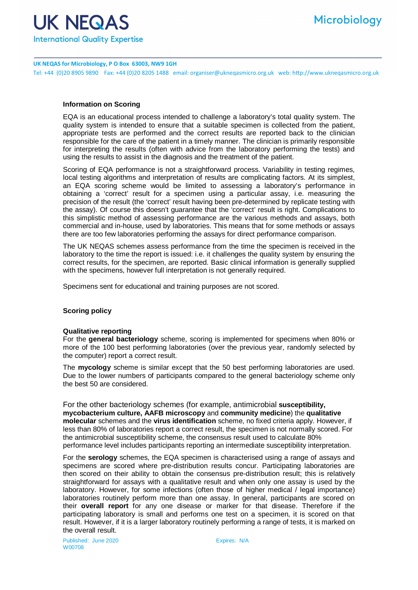

**UK NEQAS for Microbiology, P O Box 63003, NW9 1GH** Tel: +44 (0)20 8905 9890 Fax: +44 (0)20 8205 1488 email: organiser@ukneqasmicro.org.uk web: http://www.ukneqasmicro.org.uk

# **Information on Scoring**

EQA is an educational process intended to challenge a laboratory's total quality system. The quality system is intended to ensure that a suitable specimen is collected from the patient, appropriate tests are performed and the correct results are reported back to the clinician responsible for the care of the patient in a timely manner. The clinician is primarily responsible for interpreting the results (often with advice from the laboratory performing the tests) and using the results to assist in the diagnosis and the treatment of the patient.

Scoring of EQA performance is not a straightforward process. Variability in testing regimes, local testing algorithms and interpretation of results are complicating factors. At its simplest, an EQA scoring scheme would be limited to assessing a laboratory's performance in obtaining a 'correct' result for a specimen using a particular assay, i.e. measuring the precision of the result (the 'correct' result having been pre-determined by replicate testing with the assay). Of course this doesn't guarantee that the 'correct' result is right. Complications to this simplistic method of assessing performance are the various methods and assays, both commercial and in-house, used by laboratories. This means that for some methods or assays there are too few laboratories performing the assays for direct performance comparison.

The UK NEQAS schemes assess performance from the time the specimen is received in the laboratory to the time the report is issued: i.e. it challenges the quality system by ensuring the correct results, for the specimen, are reported. Basic clinical information is generally supplied with the specimens, however full interpretation is not generally required.

Specimens sent for educational and training purposes are not scored.

### **Scoring policy**

### **Qualitative reporting**

For the **general bacteriology** scheme, scoring is implemented for specimens when 80% or more of the 100 best performing laboratories (over the previous year, randomly selected by the computer) report a correct result.

The **mycology** scheme is similar except that the 50 best performing laboratories are used. Due to the lower numbers of participants compared to the general bacteriology scheme only the best 50 are considered.

For the other bacteriology schemes (for example, antimicrobial **susceptibility, mycobacterium culture, AAFB microscopy** and **community medicine**) the **qualitative molecular** schemes and the **virus identification** scheme, no fixed criteria apply. However, if less than 80% of laboratories report a correct result, the specimen is not normally scored. For the antimicrobial susceptibility scheme, the consensus result used to calculate 80% performance level includes participants reporting an intermediate susceptibility interpretation.

For the **serology** schemes, the EQA specimen is characterised using a range of assays and specimens are scored where pre-distribution results concur. Participating laboratories are then scored on their ability to obtain the consensus pre-distribution result; this is relatively straightforward for assays with a qualitative result and when only one assay is used by the laboratory. However, for some infections (often those of higher medical / legal importance) laboratories routinely perform more than one assay. In general, participants are scored on their **overall report** for any one disease or marker for that disease. Therefore if the participating laboratory is small and performs one test on a specimen, it is scored on that result. However, if it is a larger laboratory routinely performing a range of tests, it is marked on the overall result.